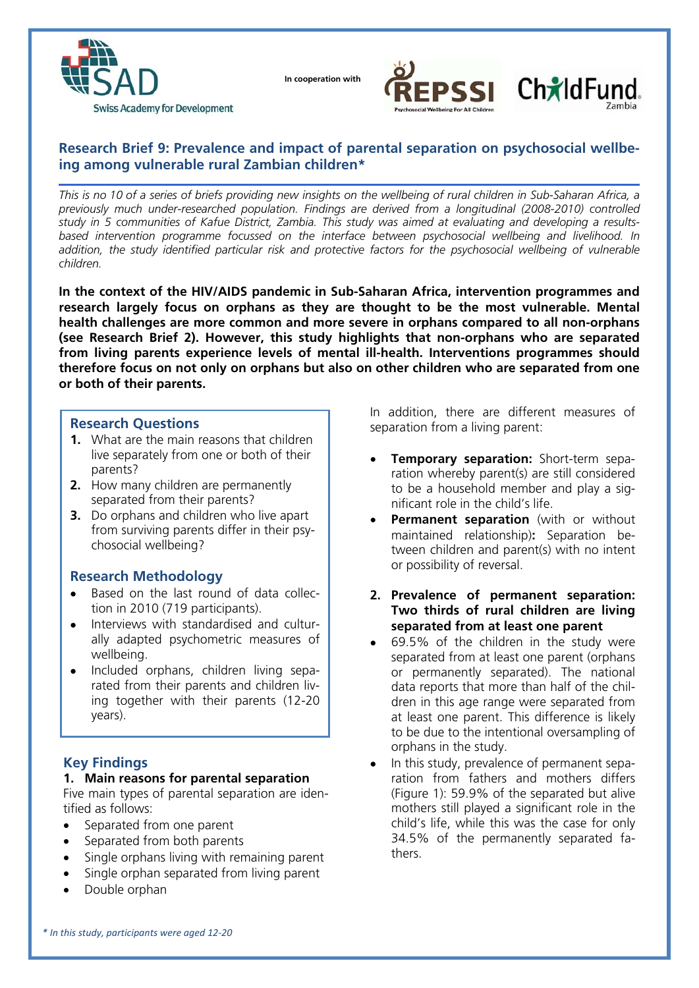

 **In cooperation with**





# **Research Brief 9: Prevalence and impact of parental separation on psychosocial wellbeing among vulnerable rural Zambian children\***

*This is no 10 of a series of briefs providing new insights on the wellbeing of rural children in Sub-Saharan Africa, a previously much under-researched population. Findings are derived from a longitudinal (2008-2010) controlled study in 5 communities of Kafue District, Zambia. This study was aimed at evaluating and developing a resultsbased intervention programme focussed on the interface between psychosocial wellbeing and livelihood. In*  addition, the study identified particular risk and protective factors for the psychosocial wellbeing of vulnerable *children.* 

**In the context of the HIV/AIDS pandemic in Sub-Saharan Africa, intervention programmes and research largely focus on orphans as they are thought to be the most vulnerable. Mental health challenges are more common and more severe in orphans compared to all non-orphans (see Research Brief 2). However, this study highlights that non-orphans who are separated from living parents experience levels of mental ill-health. Interventions programmes should therefore focus on not only on orphans but also on other children who are separated from one or both of their parents.** 

# **Research Questions**

- **1.** What are the main reasons that children live separately from one or both of their parents?
- **2.** How many children are permanently separated from their parents?
- **3.** Do orphans and children who live apart from surviving parents differ in their psychosocial wellbeing?

### **Research Methodology**

- Based on the last round of data collection in 2010 (719 participants).
- Interviews with standardised and culturally adapted psychometric measures of wellbeing.
- Included orphans, children living separated from their parents and children living together with their parents (12-20 years).

# **Key Findings**

### **1. Main reasons for parental separation**

Five main types of parental separation are identified as follows:

- Separated from one parent
- Separated from both parents
- Single orphans living with remaining parent
- Single orphan separated from living parent
- Double orphan

In addition, there are different measures of separation from a living parent:

- **Temporary separation:** Short-term separation whereby parent(s) are still considered to be a household member and play a significant role in the child's life.
- **Permanent separation** (with or without maintained relationship)**:** Separation between children and parent(s) with no intent or possibility of reversal.
- **2. Prevalence of permanent separation: Two thirds of rural children are living separated from at least one parent**
- 69.5% of the children in the study were separated from at least one parent (orphans or permanently separated). The national data reports that more than half of the children in this age range were separated from at least one parent. This difference is likely to be due to the intentional oversampling of orphans in the study.
- In this study, prevalence of permanent separation from fathers and mothers differs (Figure 1): 59.9% of the separated but alive mothers still played a significant role in the child's life, while this was the case for only 34.5% of the permanently separated fathers.